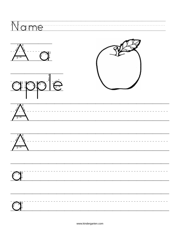













|                                           |  | ------------------------------- |  |
|-------------------------------------------|--|---------------------------------|--|
| $\sim$ $\sim$ $\sim$ $\sim$ $\sim$ $\sim$ |  |                                 |  |
|                                           |  |                                 |  |
|                                           |  |                                 |  |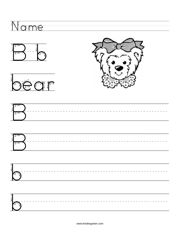













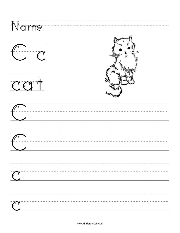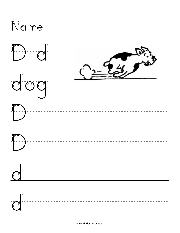













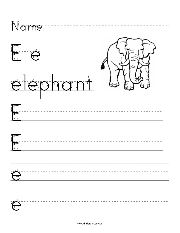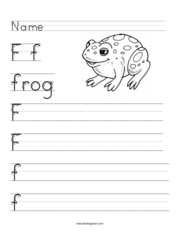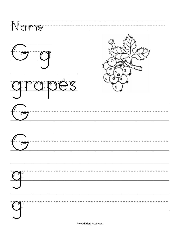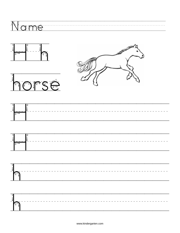













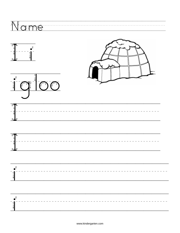





| $\overline{\phantom{a}}$<br>$\sim$ |  |
|------------------------------------|--|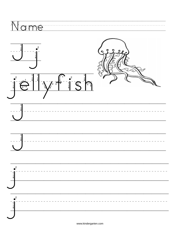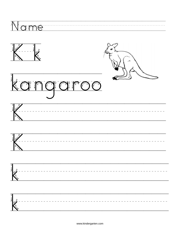



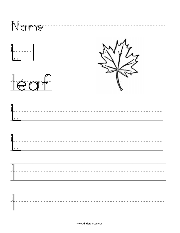











| $\overline{\phantom{0}}$ |  |  |  |  |  |  |  |  |  |  |  |  |  |  |  |  |  |  |  |  |  |  |  |  |  |  |  |  |  |  |  |
|--------------------------|--|--|--|--|--|--|--|--|--|--|--|--|--|--|--|--|--|--|--|--|--|--|--|--|--|--|--|--|--|--|--|
|                          |  |  |  |  |  |  |  |  |  |  |  |  |  |  |  |  |  |  |  |  |  |  |  |  |  |  |  |  |  |  |  |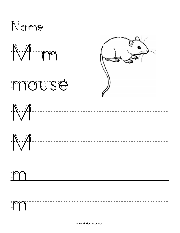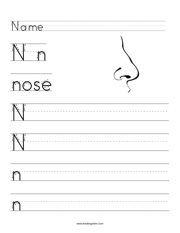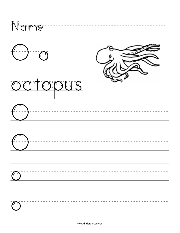











| $\overline{\phantom{a}}$ |  |  |
|--------------------------|--|--|
|                          |  |  |
| $\bigodot$               |  |  |
|                          |  |  |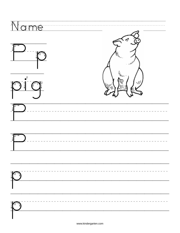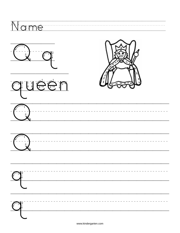













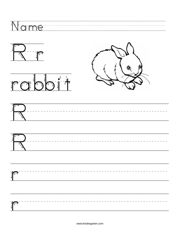









3,

 $\sqrt{2}$ 



$$
\mathbb{N}^2
$$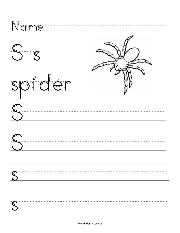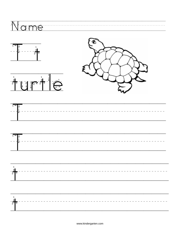







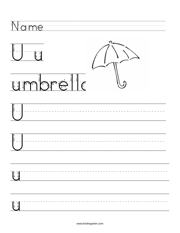









| $-1 - -1$ |  |  |  |  |  |  |  |  |  |  |  |  |  |  |  |  |  |  |  |  |
|-----------|--|--|--|--|--|--|--|--|--|--|--|--|--|--|--|--|--|--|--|--|
|           |  |  |  |  |  |  |  |  |  |  |  |  |  |  |  |  |  |  |  |  |

| $\overline{\mathsf{h}}$<br>$\mathbf{Z}$ |  |  |  |
|-----------------------------------------|--|--|--|
|                                         |  |  |  |

| $\begin{bmatrix} 1 & 2 \\ 1 & 4 \end{bmatrix}$ |  |  |  |
|------------------------------------------------|--|--|--|
|                                                |  |  |  |
|                                                |  |  |  |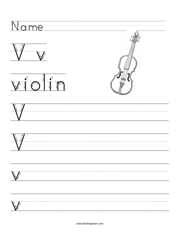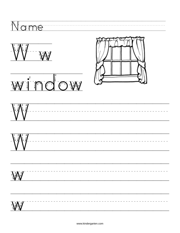













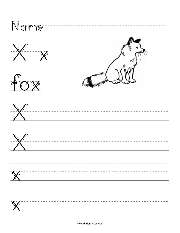













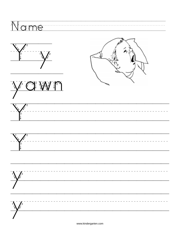